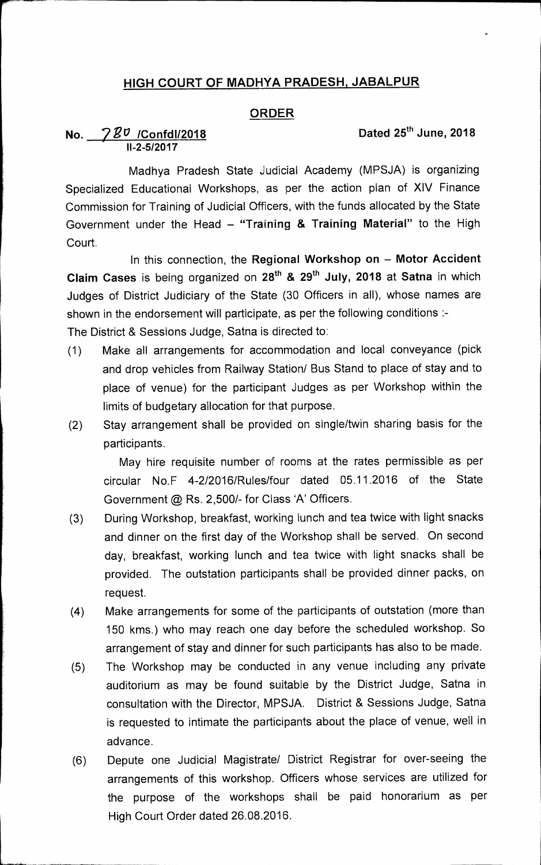# **HIGH COURT OF MADHYA PRADESH, JABALPUR**

### **ORDER**

# **No.** 2018 720 **/Confd1/2018** Dated 25<sup>th</sup> June, 2018 **II-2-5/2017**

**Madhya Pradesh** State Judicial Academy (MPSJA) is organizing Specialized Educational Workshops, as per the action plan of XIV Finance Commission for Training of Judicial Officers, with the funds allocated by the State Government under the Head — **"Training & Training Material"** to the High Court.

In this connection, the **Regional Workshop on — Motor Accident Claim Cases** is being organized on 28th & 29th July, **2018 at Satna** in which Judges of District Judiciary of the State (30 Officers in all), whose names are shown in the endorsement will participate, as per the following conditions :-

The District & Sessions Judge, Satna is directed to:

- (1) Make all arrangements for accommodation and local conveyance (pick and drop vehicles from Railway Station/ Bus Stand to place of stay and to place of venue) for the participant Judges as per Workshop within the limits of budgetary allocation for that purpose.
- (2) Stay arrangement shall be provided on single/twin sharing basis for the participants.

May hire requisite number of rooms at the rates permissible as per circular No.F 4-2/2016/Rules/four dated 05.11.2016 of the State Government @ Rs. 2,500/- for Class 'A' Officers.

- (3) During Workshop, breakfast, working lunch and tea twice with light snacks and dinner on the first day of the Workshop shall be served. On second day, breakfast, working lunch and tea twice with light snacks shall be provided. The outstation participants shall be provided dinner packs, on request.
- (4) Make arrangements for some of the participants of outstation (more than 150 kms.) who may reach one day before the scheduled workshop. So arrangement of stay and dinner for such participants has also to be made.
- (5) The Workshop may be conducted in any venue including any private auditorium as may be found suitable by the District Judge, Satna in consultation with the Director, MPSJA. District & Sessions Judge, Satna is requested to intimate the participants about the place of venue, well in advance.
- (6) Depute one Judicial Magistrate/ District Registrar for over-seeing the arrangements of this workshop. Officers whose services are utilized for the purpose of the workshops shall be paid honorarium as per High Court Order dated 26.08.2016.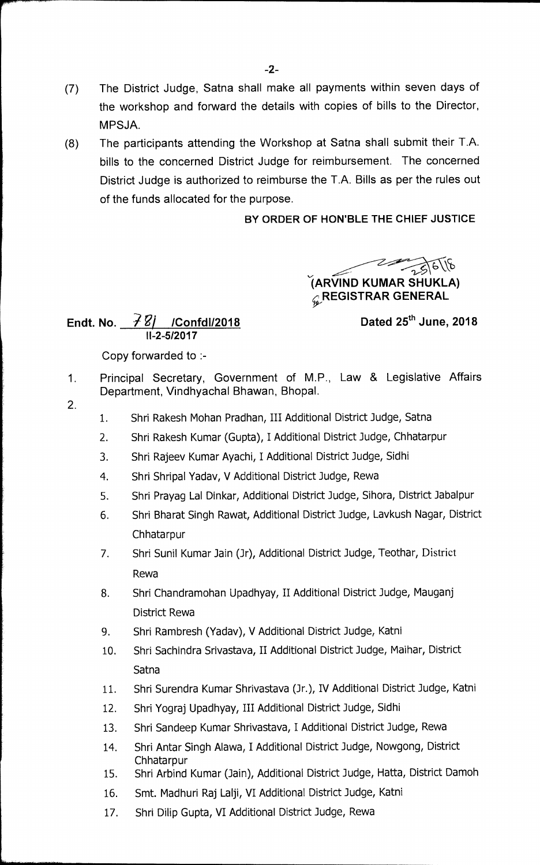- (7) The District Judge, Satna shall make all payments within seven days of the workshop and forward the details with copies of bills to the Director, MPSJA.
- (8) The participants attending the Workshop at Satna shall submit their T.A. bills to the concerned District Judge for reimbursement. The concerned District Judge is authorized to reimburse the T.A. Bills as per the rules out of the funds allocated for the purpose.

## **BY ORDER OF HON'BLE THE CHIEF JUSTICE**

 $275618$ **(ARV1ND KUMAR SHUKLA) REGISTRAR GENERAL** 

**Endt. No.** ?g/ **/Confd1/2018 Dated 25thJune, 2018 11-2-5/2017** 

Copy forwarded to :-

- 1. Principal Secretary, Government of M.P., Law & Legislative Affairs Department, Vindhyachal Bhawan, Bhopal.
- 2.
- 1. Shri Rakesh Mohan Pradhan, III Additional District Judge, Satna
- 2. Shri Rakesh Kumar (Gupta), I Additional District Judge, Chhatarpur
- 3. Shri Rajeev Kumar Ayachi, I Additional District Judge, Sidhi
- 4. Shri Shripal Yadav, V Additional District Judge, Rewa
- 5. Shri Prayag Lal Dinkar, Additional District Judge, Sihora, District Jabalpur
- 6. Shri Bharat Singh Rawat, Additional District Judge, Lavkush Nagar, District **Chhatarpur**
- 7. Shri Sunil Kumar Jain (Jr), Additional District Judge, Teothar, District Rewa
- 8. Shri Chandramohan Upadhyay, II Additional District Judge, Mauganj District Rewa
- 9. Shri Rambresh (Yadav), V Additional District Judge, Katni
- 10. Shri Sachindra Srivastava, II Additional District Judge, Maihar, District **Satna**
- 11. Shri Surendra Kumar Shrivastava (Jr.), IV Additional District Judge, Katni
- 12. Shri Yograj Upadhyay, III Additional District Judge, Sidhi
- 13. Shri Sandeep Kumar Shrivastava, I Additional District Judge, Rewa
- 14. Shri Antar Singh Alawa, I Additional District Judge, Nowgong, District Chhatarpur
- 15. Shri Arbind Kumar (Jain), Additional District Judge, Hatta, District Damoh
- 16. Smt. Madhuri Raj LaIji, VI Additional District Judge, Katni
- 17. Shri Dilip Gupta, VI Additional District Judge, Rewa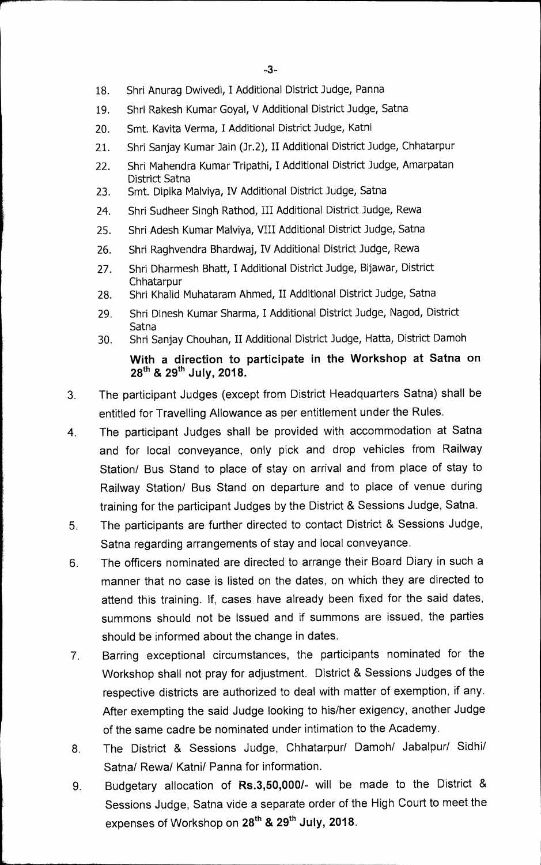- 18. Shri Anurag Dwivedi, I Additional District Judge, Panna
- 19. Shri Rakesh Kumar Goyal, V Additional District Judge, Satna
- 20. Smt. Kavita Verma, I Additional District Judge, Katni
- 21. Shri Sanjay Kumar Jain (Jr.2), II Additional District Judge, Chhatarpur
- 22. Shri Mahendra Kumar Tripathi, I Additional District Judge, Amarpatan District Satna
- 23. Smt. Dipika Malviya, IV Additional District Judge, Satna
- 24. Shri Sudheer Singh Rathod, III Additional District Judge, Rewa
- 25. Shri Adesh Kumar Malviya, VIII Additional District Judge, Satna
- 26. Shri Raghvendra Bhardwaj, IV Additional District Judge, Rewa
- 27. Shri Dharmesh Bhatt, I Additional District Judge, Bijawar, District Chhatarpur
- 28. Shri Khalid Muhataram Ahmed, II Additional District Judge, Satna
- 29. Shri Dinesh Kumar Sharma, I Additional District Judge, Nagod, District **Satna**
- 30. Shri Sanjay Chouhan, II Additional District Judge, Hatta, District Damoh

**With a direction to participate in the Workshop at Satna on 28th** & 29th July, 2018.

- 3. The participant Judges (except from District Headquarters Satna) shall be entitled for Travelling Allowance as per entitlement under the Rules.
- 4. The participant Judges shall be provided with accommodation at Satna and for local conveyance, only pick and drop vehicles from Railway Station/ Bus Stand to place of stay on arrival and from place of stay to Railway Station/ Bus Stand on departure and to place of venue during training for the participant Judges by the District & Sessions Judge, Satna.
- 5. The participants are further directed to contact District & Sessions Judge, Satna regarding arrangements of stay and local conveyance.
- 6 The officers nominated are directed to arrange their Board Diary in such a manner that no case is listed on the dates, on which they are directed to attend this training. If, cases have already been fixed for the said dates, summons should not be issued and if summons are issued, the parties should be informed about the change in dates.
- 7. Barring exceptional circumstances, the participants nominated for the Workshop shall not pray for adjustment. District & Sessions Judges of the respective districts are authorized to deal with matter of exemption, if any. After exempting the said Judge looking to his/her exigency, another Judge of the same cadre be nominated under intimation to the Academy.
- 8 The District & Sessions Judge, Chhatarpur/ Damoh/ Jabalpur/ Sidhi/ Satna/ Rewa/ Katni/ Panna for information.
- 9. Budgetary allocation of **Rs.3,50,000/-** will be made to the District & Sessions Judge, Satna vide a separate order of the High Court to meet the expenses of Workshop on 28<sup>th</sup> & 29<sup>th</sup> July, 2018.